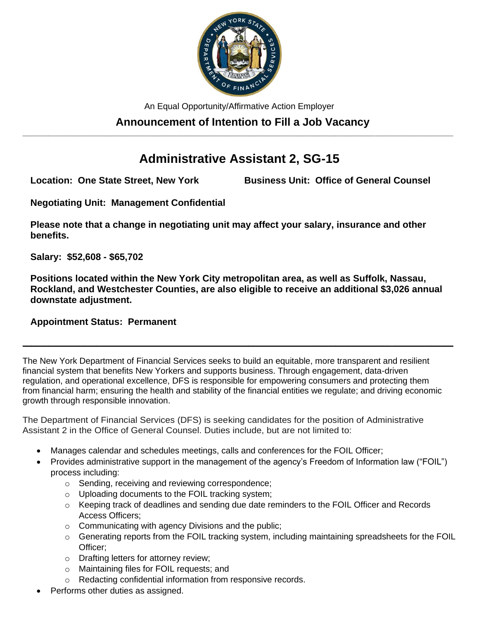

An Equal Opportunity/Affirmative Action Employer

### **Announcement of Intention to Fill a Job Vacancy \_\_\_\_\_\_\_\_\_\_\_\_\_\_\_\_\_\_\_\_\_\_\_\_\_\_\_\_\_\_\_\_\_\_\_\_\_\_\_\_\_\_\_\_\_\_\_\_\_\_\_\_\_\_\_\_\_\_\_\_\_\_\_\_\_\_\_\_\_\_\_\_\_\_\_\_\_\_\_\_\_\_\_\_\_\_\_\_\_\_\_\_\_\_\_\_\_\_\_**

# **Administrative Assistant 2, SG-15**

**Location: One State Street, New York Business Unit: Office of General Counsel**

**Negotiating Unit: Management Confidential**

**Please note that a change in negotiating unit may affect your salary, insurance and other benefits.**

**Salary: \$52,608 - \$65,702** 

**Positions located within the New York City metropolitan area, as well as Suffolk, Nassau, Rockland, and Westchester Counties, are also eligible to receive an additional \$3,026 annual downstate adjustment.**

**\_\_\_\_\_\_\_\_\_\_\_\_\_\_\_\_\_\_\_\_\_\_\_\_\_\_\_\_\_\_\_\_\_\_\_\_\_\_\_\_\_\_\_\_\_\_\_\_\_\_\_\_\_\_\_\_\_\_\_\_\_\_\_\_\_\_\_\_\_\_\_\_\_\_\_\_\_\_\_\_\_\_\_\_\_\_\_\_\_\_\_\_\_\_\_\_\_\_\_**

## **Appointment Status: Permanent**

The New York Department of Financial Services seeks to build an equitable, more transparent and resilient financial system that benefits New Yorkers and supports business. Through engagement, data-driven regulation, and operational excellence, DFS is responsible for empowering consumers and protecting them from financial harm; ensuring the health and stability of the financial entities we regulate; and driving economic growth through responsible innovation.

The Department of Financial Services (DFS) is seeking candidates for the position of Administrative Assistant 2 in the Office of General Counsel. Duties include, but are not limited to:

- Manages calendar and schedules meetings, calls and conferences for the FOIL Officer;
- Provides administrative support in the management of the agency's Freedom of Information law ("FOIL") process including:
	- o Sending, receiving and reviewing correspondence;
	- o Uploading documents to the FOIL tracking system;
	- $\circ$  Keeping track of deadlines and sending due date reminders to the FOIL Officer and Records Access Officers;
	- o Communicating with agency Divisions and the public;
	- $\circ$  Generating reports from the FOIL tracking system, including maintaining spreadsheets for the FOIL Officer;
	- o Drafting letters for attorney review;
	- o Maintaining files for FOIL requests; and
	- o Redacting confidential information from responsive records.
- Performs other duties as assigned.